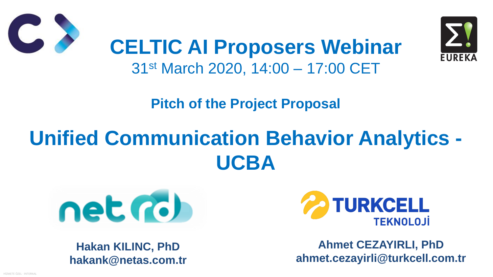HİZMETE ÖZEL - INTERNAL





**Pitch of the Project Proposal**

# **Unified Communication Behavior Analytics - UCBA**



**CELTIC AI Proposers Webinar** 31st March 2020, 14:00 – 17:00 CET



**Hakan KILINC, PhD hakank@netas.com.tr**

**Ahmet CEZAYIRLI, PhD ahmet.cezayirli@turkcell.com.tr**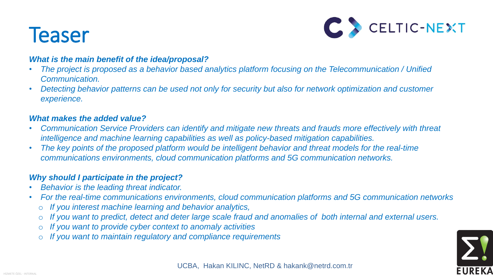



### **Teaser**

#### *What is the main benefit of the idea/proposal?*

- *The project is proposed as a behavior based analytics platform focusing on the Telecommunication / Unified Communication.*
- *Detecting behavior patterns can be used not only for security but also for network optimization and customer experience.*

#### *What makes the added value?*

- *Behavior is the leading threat indicator.*
- *For the real-time communications environments, cloud communication platforms and 5G communication networks* o *If you interest machine learning and behavior analytics,*
- - o *If you want to predict, detect and deter large scale fraud and anomalies of both internal and external users.* If you want to provide cyber context to anomaly activities
	-
	- If you want to maintain regulatory and compliance requirements
- *Communication Service Providers can identify and mitigate new threats and frauds more effectively with threat intelligence and machine learning capabilities as well as policy-based mitigation capabilities.* • The key points of the proposed platform would be intelligent behavior and *threat models for the real-time communications environments, cloud communication platforms and 5G communication networks.*
- 

#### *Why should I participate in the project?*

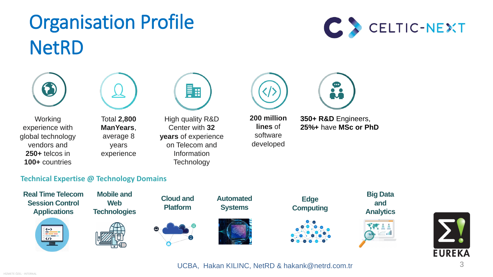





## Organisation Profile NetRD







**Working** experience with global technology vendors and **250+** telcos in **100+** countries

High quality R&D Center with **32 years** of experience on Telecom and Information **Technology** 



Total **2,800 ManYears**, average 8 years experience



**200 million lines** of software developed

**350+ R&D** Engineers, **25%+** have **MSc or PhD**

**Real Time Telecom Session Control Applications** 



**Mobile and Web Technologies**



**Cloud and Platform**





#### **Technical Expertise @ Technology Domains**

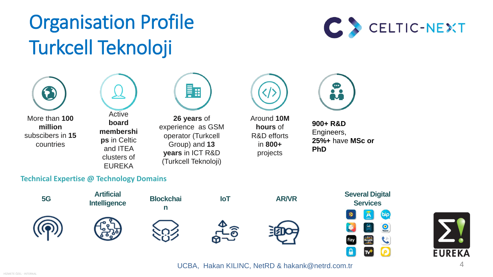





## Organisation Profile Turkcell Teknoloji



More than **100 million** subscibers in **15** countries

**26 years** of experience as GSM operator (Turkcell Group) and **13 years** in ICT R&D (Turkcell Teknoloji)

Around **10M hours** of R&D efforts in **800+** projects

Active **board membershi ps** in Celtic and ITEA clusters of EUREKA



**900+ R&D**  Engineers, **25%+** have **MSc or PhD**



UCBA, Hakan KILINC, NetRD & hakank@netrd.com.tr 4

#### **Technical Expertise @ Technology Domains**



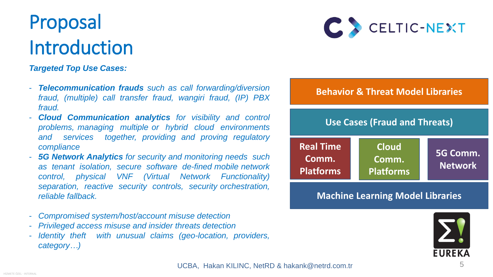

## Proposal Introduction

5

*Targeted Top Use Cases:*

- *Telecommunication frauds such as call forwarding/diversion fraud, (multiple) call transfer fraud, wangiri fraud, (IP) PBX fraud.*
- *Cloud Communication analytics for visibility and control problems, managing multiple or hybrid cloud environments and services together, providing and proving regulatory compliance*
- *5G Network Analytics for security and monitoring needs such as tenant isolation, secure software de-fined mobile network control, physical VNF (Virtual Network Functionality) separation, reactive security controls, security orchestration, reliable fallback.*
- *Compromised system/host/account misuse detection*
- *Privileged access misuse and insider threats detection*
- *Identity theft with unusual claims (geo-location, providers, category…)*

UCBA, Hakan KILINC, NetRD & hakank@netrd.com.tr

**Machine Learning Model Libraries**



**Real Time Comm. Platforms**

**Cloud Comm. Platforms**

**5G Comm. Network**

**Use Cases (Fraud and Threats)**

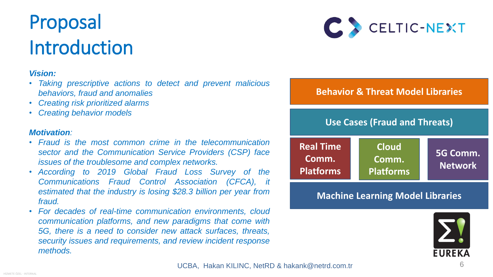

## Proposal Introduction



### *Vision:*

- *Taking prescriptive actions to detect and prevent malicious behaviors, fraud and anomalies*
- *Creating risk prioritized alarms*
- *Creating behavior models*

#### *Motivation:*

- *Fraud is the most common crime in the telecommunication sector and the Communication Service Providers (CSP) face issues of the troublesome and complex networks.*
- *According to 2019 Global Fraud Loss Survey of the Communications Fraud Control Association (CFCA), it estimated that the industry is losing \$28.3 billion per year from fraud.*
- *For decades of real-time communication environments, cloud communication platforms, and new paradigms that come with 5G, there is a need to consider new attack surfaces, threats, security issues and requirements, and review incident response methods.*

UCBA, Hakan KILINC, NetRD & hakank@netrd.com.tr



**Machine Learning Model Libraries**

**Real Time Comm. Platforms**

**Cloud Comm. Platforms**

**5G Comm. Network**

**Use Cases (Fraud and Threats)**

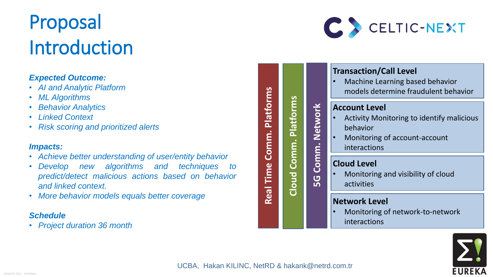



### Proposal Introduction

#### *Expected Outcome:*

- *AI and Analytic Platform*
- *ML Algorithms*
- *Behavior Analytics*
- *Linked Context*
- *Risk scoring and prioritized alerts*

#### *Impacts:*

Monitoring of network-to-network interactions



- *Achieve better understanding of user/entity behavior*
- *Develop new algorithms and techniques to predict/detect malicious actions based on behavior and linked context.*
- *More behavior models equals better coverage*

#### *Schedule*

• *Project duration 36 month*

**Real Time Comm. Platforms**

Comm.

Time

Real

Platforms



**5G Comm. Network**

Comm.

5G

Network

#### **Network Level**

### **Cloud Level**

• Monitoring and visibility of cloud activities

#### **Account Level**

- Activity Monitoring to identify malicious behavior
- Monitoring of account-account interactions

### **Transaction/Call Level**

• Machine Learning based behavior models determine fraudulent behavior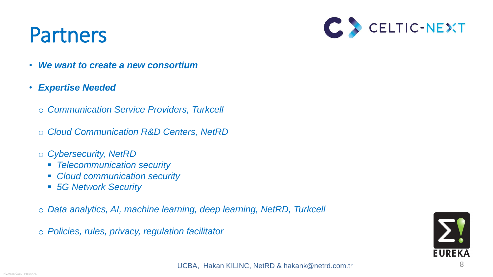



UCBA, Hakan KILINC, NetRD & hakank@netrd.com.tr 8

### Partners

- *We want to create a new consortium*
- *Expertise Needed* 
	- o *Communication Service Providers, Turkcell*
	- o *Cloud Communication R&D Centers, NetRD*
	- o *Cybersecurity, NetRD*
		- *Telecommunication security*
		- *Cloud communication security*
		- *5G Network Security*
	- o *Data analytics, AI, machine learning, deep learning, NetRD, Turkcell*
	- o *Policies, rules, privacy, regulation facilitator*